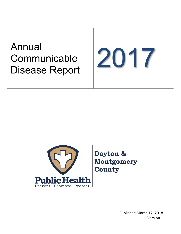# Annual **Communicable** Affiliuar<br>Communicable<br>Disease Report





Dayton & **Montgomery County** 

> Published March 12, 2018 Version 1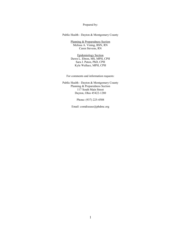Prepared by:

Public Health - Dayton & Montgomery County

Planning & Preparedness Section Melissa A. Vining, BSN, RN Caren Stevens, RN

Epidemiology Section Dawn L. Ebron, MS, MPH, CPH Sara J. Paton, PhD, CPH Kyle Wallace, MPH, CPH

For comments and information requests:

Public Health - Dayton & Montgomery County Planning & Preparedness Section 117 South Main Street Dayton, Ohio 45422-1280

Phone: (937) 225-4508

Email: comdisease@phdmc.org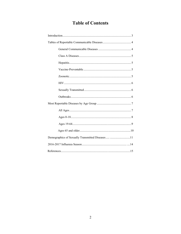# **Table of Contents**

| Demographics of Sexually Transmitted Diseases 11 |
|--------------------------------------------------|
|                                                  |
|                                                  |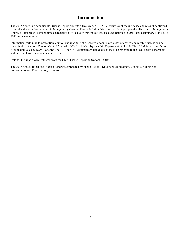#### **Introduction**

The 2017 Annual Communicable Disease Report presents a five-year (2013-2017) overview of the incidence and rates of confirmed reportable diseases that occurred in Montgomery County. Also included in this report are the top reportable diseases for Montgomery County by age group, demographic characteristics of sexually-transmitted disease cases reported in 2017, and a summary of the 2016- 2017 influenza season.

Information pertaining to prevention, control, and reporting of suspected or confirmed cases of any communicable disease can be found in the Infectious Disease Control Manual (IDCM) published by the Ohio Department of Health. The IDCM is based on Ohio Administrative Code (OAC) Chapter 3701-3. The OAC designates which diseases are to be reported to the local health department and the time frame in which this must occur.

Data for this report were gathered from the Ohio Disease Reporting System (ODRS).

The 2017 Annual Infectious Disease Report was prepared by Public Health - Dayton & Montgomery County's Planning & Preparedness and Epidemiology sections.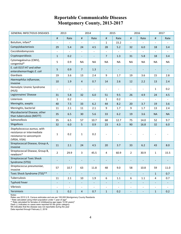# **Reportable Communicable Diseases Montgomery County, 2013-2017**

| <b>GENERAL INFECTIOUS DISEASES</b>                                                                    | 2013                     |                          |                          | 2014                     |                          | 2015                     |                          | 2016                     |                          | 2017                     |
|-------------------------------------------------------------------------------------------------------|--------------------------|--------------------------|--------------------------|--------------------------|--------------------------|--------------------------|--------------------------|--------------------------|--------------------------|--------------------------|
|                                                                                                       | $\sharp$                 | Rate                     | $\#$                     | Rate                     | $\sharp$                 | Rate                     | $\#$                     | Rate                     | $\sharp$                 | Rate                     |
| Botulism, infant*                                                                                     | $\frac{1}{2}$            | $\overline{\phantom{a}}$ | $\overline{\phantom{a}}$ | $\overline{a}$           | $\mathbf{1}$             | 15.2                     | $\blacksquare$           | $\overline{\phantom{a}}$ | $\overline{\phantom{a}}$ |                          |
| Campylobacteriosis                                                                                    | 29                       | 5.4                      | 24                       | 4.5                      | 28                       | 5.2                      | 32                       | 6.0                      | 18                       | 3.4                      |
| Coccidioidomycosis                                                                                    | $\overline{\phantom{a}}$ | $\overline{\phantom{a}}$ | $\overline{\phantom{a}}$ | $\overline{\phantom{a}}$ | $\equiv$                 | $\blacksquare$           | $\blacksquare$           | $\overline{\phantom{a}}$ | $\overline{\phantom{a}}$ |                          |
| Cryptosporidiosis                                                                                     | $\mathbf{1}$             | 0.2                      | $\overline{\phantom{a}}$ |                          | $\overline{7}$           | 1.3                      | 31                       | 5.8                      | 18                       | 3.4                      |
| Cytomegalovirus (CMV),<br>congenital*                                                                 | 5                        | 0.9                      | <b>NA</b>                | NA                       | <b>NA</b>                | <b>NA</b>                | <b>NA</b>                | <b>NA</b>                | <b>NA</b>                | <b>NA</b>                |
| E. coli 0157:H7 and other<br>enterohemorrhagic E. coli                                                | 5                        | 0.9                      | $\overline{7}$           | 1.3                      | $\overline{\phantom{a}}$ | $\overline{\phantom{a}}$ | $\overline{\phantom{a}}$ | $\overline{\phantom{m}}$ | $\overline{\phantom{a}}$ |                          |
| Giardiasis                                                                                            | 19                       | 3.6                      | 13                       | 2.4                      | 9                        | 1.7                      | 19                       | 3.6                      | 15                       | 2.8                      |
| Haemophilus influenzae,<br>invasive                                                                   | 10                       | 1.9                      | 4                        | 0.7                      | 14                       | 2.6                      | 12                       | 2.2                      | 13                       | 2.4                      |
| Hemolytic Uremic Syndrome<br>(HUS)                                                                    | $\overline{\phantom{a}}$ | $\overline{\phantom{a}}$ | $\overline{\phantom{a}}$ | $\overline{\phantom{a}}$ |                          | $\overline{\phantom{a}}$ | $\overline{\phantom{0}}$ | $\overline{\phantom{a}}$ | 1                        | 0.2                      |
| Legionnaires' Disease                                                                                 | 31                       | 5.8                      | 32                       | 6.0                      | 51                       | 9.5                      | 26                       | 4.9                      | 24                       | 4.5                      |
| Listeriosis                                                                                           | $\mathbf{1}$             | 0.2                      | $\overline{\phantom{a}}$ | $\overline{\phantom{a}}$ | $\mathbf{1}$             | 0.2                      | $\overline{\phantom{a}}$ | $\overline{\phantom{a}}$ | $\overline{\phantom{a}}$ | $\overline{\phantom{a}}$ |
| Meningitis, aseptic                                                                                   | 40                       | 7.5                      | 33                       | $6.2$                    | 44                       | 8.2                      | 20                       | 3.7                      | 19                       | 3.6                      |
| Meningitis, bacterial                                                                                 | 11                       | 2.1                      | 11                       | 2.1                      | 9                        | 1.7                      | 9                        | 1.7                      | 13                       | 2.4                      |
| Mycobacterial Disease, other<br>than tuberculosis (MOTT)                                              | 35                       | 6.5                      | 30                       | 5.6                      | 33                       | 6.2                      | 19                       | 3.6                      | <b>NA</b>                | <b>NA</b>                |
| Salmonellosis                                                                                         | 35                       | 6.5                      | 57                       | 10.7                     | 68                       | 12.7                     | 75                       | 14.0                     | 52                       | 9.7                      |
| Shigellosis                                                                                           | 32                       | 6.0                      | 5                        | 0.9                      | 23                       | 4.3                      | 90                       | 16.8                     | 32                       | 6.0                      |
| Staphylococcus aureus, with<br>resistance or intermediate<br>resistance to vancomycin<br>(VRSA, VISA) | $\mathbf 1$              | 0.2                      | $\mathbf{1}$             | 0.2                      |                          |                          |                          |                          |                          |                          |
| Streptococcal Disease, Group A,<br>invasive                                                           | 11                       | 2.1                      | 24                       | 4.5                      | 20                       | 3.7                      | 33                       | $6.2$                    | 43                       | 8.0                      |
| Streptococcal Disease, Group B,<br>newborn*                                                           | $\overline{2}$           | 29.9                     | 3                        | 45.5                     | 4                        | 60.9                     | $\overline{2}$           | 30.9                     | 1                        | 15.5                     |
| <b>Streptococcal Toxic Shock</b><br>Syndrome (STSS)                                                   |                          | $\qquad \qquad -$        | $\overline{\phantom{a}}$ |                          |                          | $\overline{\phantom{m}}$ | $\overline{\phantom{m}}$ |                          |                          |                          |
| Streptococcus pneumoniae,<br>invasive                                                                 | 57                       | 10.7                     | 63                       | 11.8                     | 48                       | 9.0                      | 58                       | 10.8                     | 59                       | 11.0                     |
| Toxic Shock Syndrome (TSS)**                                                                          | $\overline{\phantom{a}}$ | $\overline{\phantom{a}}$ | $\blacksquare$           | $\equiv$                 | $\equiv$                 | $\pm$                    | $\blacksquare$           | $\overline{\phantom{a}}$ | $1\,$                    | 0.7                      |
| Tuberculosis                                                                                          | 11                       | 2.1                      | 10                       | 1.9                      | 6                        | $1.1\,$                  | 6                        | 1.1                      | 4                        | 0.7                      |
| <b>Typhoid Fever</b>                                                                                  | $\overline{\phantom{a}}$ | $\blacksquare$           | $\overline{\phantom{a}}$ | $\blacksquare$           | $\overline{\phantom{a}}$ | $\overline{\phantom{a}}$ | ÷                        | $\overline{\phantom{a}}$ | $\blacksquare$           | $\overline{\phantom{a}}$ |
| Vibriosis                                                                                             | $\overline{\phantom{a}}$ | $\overline{\phantom{a}}$ | $\overline{\phantom{a}}$ | $\qquad \qquad -$        | $\blacksquare$           | $\overline{\phantom{a}}$ | $\blacksquare$           | $\overline{\phantom{a}}$ | $\overline{\phantom{a}}$ | $\overline{\phantom{a}}$ |
| Yersiniosis                                                                                           | $\mathbf{1}$             | 0.2                      | $\overline{4}$           | 0.7                      | $1\,$                    | 0.2                      | $\blacksquare$           | $\overline{\phantom{a}}$ | $\mathbf{1}$             | 0.2                      |

Notes:

Rates use 2010 U.S. Census estimates and are per 100,000 Montgomery County Residents<br>\* Rate calculated using infant population under 1 year of age<sup>2</sup>

 $^{\ast\ast}$  Rate calculated for females of childbearing age (ages 10-50 years) $^2$ 

Dash (-) indicates no cases were reported for the given category

NA indicates that the disease was not reportable during the year

Data reported through February 2, 2018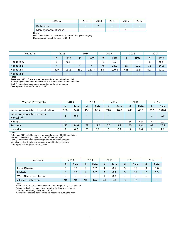| Class A               | 2013 | 2014                     | 2015                     | 2016 | 2017                     |
|-----------------------|------|--------------------------|--------------------------|------|--------------------------|
| Diphtheria            | -    |                          | $\overline{\phantom{0}}$ | -    | $\overline{\phantom{0}}$ |
| Meningococcal Disease | -    | $\overline{\phantom{a}}$ | $\overline{\phantom{a}}$ |      | $\overline{\phantom{0}}$ |

Notes:

Dash (-) indicates no cases were reported for the given category Data reported through February 2, 2018

| <b>Hepatitis</b> | 2013                     |        | 2014                     |                          | 2015                     |       | 2016                     |      | 2017                     |      |
|------------------|--------------------------|--------|--------------------------|--------------------------|--------------------------|-------|--------------------------|------|--------------------------|------|
|                  | #                        | Rate   | #                        | Rate                     | #                        | Rate  | #                        | Rate | #                        | Rate |
| Hepatitis A      | ᅩ                        | 0.2    | $\overline{\phantom{0}}$ | -                        |                          | 0.2   | $\overline{\phantom{0}}$ | -    |                          | 0.2  |
| Hepatitis B      | $\ast$                   | $\ast$ | $\ast$                   | $\ast$                   | 76                       | 14.2  | 65                       | 12.1 | 76                       | 14.2 |
| Hepatitis C      | 499                      | 93.2   | 630                      | 117.7                    | 644                      | 120.3 | 435                      | 81.3 | 493                      | 92.1 |
| Hepatitis E      | $\overline{\phantom{0}}$ | -      | $\overline{\phantom{0}}$ | $\overline{\phantom{0}}$ | $\overline{\phantom{0}}$ | -     | $\overline{\phantom{0}}$ | -    | $\overline{\phantom{a}}$ |      |

Notes:

Rates use 2010 U.S. Census estimates and are per 100,000 population.

Asterisk (\*) indicates data not available due to data errors at the state level.

Dash (-) indicates no cases were reported for the given category.

Data reported through February 2, 2018.

| Vaccine-Preventable                          | 2013                     |      | 2014                     |                          | 2015 |      | 2016 |      | 2017 |       |
|----------------------------------------------|--------------------------|------|--------------------------|--------------------------|------|------|------|------|------|-------|
|                                              | #                        | Rate | #                        | Rate                     | #    | Rate | #    | Rate | #    | Rate  |
| Influenza-associated Hospitalization         | 186                      | 34.8 | 456                      | 85.2                     | 246  | 46.0 | 249  | 46.5 | 912  | 170.4 |
| Influenza-associated Pediatric<br>Mortality* |                          | 0.8  | $\overline{\phantom{a}}$ | $\overline{a}$           |      |      |      |      |      | 0.8   |
| Mumps                                        | $\overline{\phantom{a}}$ | -    | -                        | $\overline{\phantom{0}}$ |      |      | 24   | 4.5  |      | 0.7   |
| Pertussis                                    | 185                      | 34.6 | 73                       | 13.6                     | 50   | 9.3  | 45   | 8.4  | 92   | 17.2  |
| Varicella                                    | 3                        | 0.6  |                          | 1.3                      |      | 0.9  | 3    | 0.6  | 6    | 1.1   |

Notes:

Rates use 2010 U.S. Census estimates and are per 100,000 population.<br>\*Rate calculated using population under 18 years of age<sup>2</sup>.

Dash (-) indicates no cases were reported for the given category.

NA indicates that the disease was not reportable during the year.

Data reported through February 2, 2018.

| Zoonotic                  | 2013      |                          | 2014      |           | 2015      |           | 2016 |      | 2017 |      |
|---------------------------|-----------|--------------------------|-----------|-----------|-----------|-----------|------|------|------|------|
|                           | #         | Rate                     | #         | Rate      | #         | Rate      | #    | Rate | #    | Rate |
| Lyme Disease              |           | 0.9                      | 9         | 1.7       |           | 0.7       |      | 0.9  | ာ    | 0.6  |
| Malaria                   |           | 0.6                      | 4         | 0.7       |           | 0.4       | 5    | 0.9  |      | 1.3  |
| West Nile virus infection | -         | $\overline{\phantom{a}}$ |           | -         |           | 0.2       |      | -    | -    |      |
| Zika virus infection      | <b>NA</b> | ΝA                       | <b>NA</b> | <b>NA</b> | <b>NA</b> | <b>NA</b> |      | 0.6  | -    |      |

Notes:

Rates use 2010 U.S. Census estimates and are per 100,000 population.

Dash (-) indicates no cases were reported for the given category.

Data reported through February 2, 2018.

NA indicates that the disease was not reportable during the year.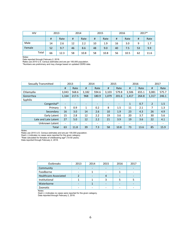| <b>HIV</b> |    | 2013 | 2014 |      | 2015 |      | 2016 |      | 2017* |      |
|------------|----|------|------|------|------|------|------|------|-------|------|
|            | #  | Rate | #    | Rate | #    | Rate | #    | Rate | #     | Rate |
| Male       | 14 | 2.6  | 12   | 2.2  | 10   | 1.9  | 16   | 3.0  | 9     | 1.7  |
| Female     | 52 | 9.7  | 46   | 8.6  | 48   | 9.0  | 40   | 7.5  | 53    | 9.9  |
| Total      | 66 | 12.3 | 58   | 10.8 | 58   | 10.8 | 56   | 10.5 | 62    | 11.6 |

Notes:

Data reported through February 2, 2018.

Rates use 2010 U.S. Census estimates and are per 100,000 population.

\*Numbers are preliminary and may change based on updated ODRS data.

| Sexually Transmitted | 2013                     |                          | 2014                     |                          | 2015                     |                          | 2016                     |                          | 2017                     |       |
|----------------------|--------------------------|--------------------------|--------------------------|--------------------------|--------------------------|--------------------------|--------------------------|--------------------------|--------------------------|-------|
|                      | #                        | Rate                     | #                        | Rate                     | #                        | Rate                     | #                        | Rate                     | #                        | Rate  |
| Chlamydia            | 3.043                    | 568.6                    | 3,182                    | 594.6                    | 3,103                    | 579.8                    | 3,506                    | 655.1                    | 3,081                    | 575.7 |
| Gonorrhea            | 1,164                    | 217.5                    | 968                      | 180.9                    | 1,079                    | 201.6                    | 1,417                    | 264.8                    | 1,317                    | 246.1 |
| Syphilis             |                          |                          |                          |                          |                          |                          |                          |                          |                          |       |
| Congenital*          | $\overline{\phantom{0}}$ | -                        |                          | $\overline{\phantom{0}}$ | $\overline{\phantom{0}}$ | $\overline{\phantom{0}}$ | 1                        | 0.7                      | $\overline{2}$           | 1.5   |
| Primary              | 5                        | 0.9                      | $\mathbf{1}$             | 0.2                      | 8                        | 1.5                      | 11                       | 2.1                      | 7                        | 1.3   |
| Secondary            | 16                       | 3.0                      | 14                       | 2.6                      | 10                       | 1.9                      | 23                       | 4.3                      | 26                       | 4.9   |
| Early Latent         | 15                       | 2.8                      | 12                       | 2.2                      | 19                       | 3.6                      | 20                       | 3.7                      | 30                       | 5.6   |
| Late and Late Latent | 27                       | 5.0                      | 12                       | 2.2                      | 21                       | 3.9                      | 19                       | 3.6                      | 22                       | 4.1   |
| Unknown Latent       | $\overline{\phantom{a}}$ | $\overline{\phantom{a}}$ | $\overline{\phantom{0}}$ | $\overline{\phantom{a}}$ | $\overline{\phantom{a}}$ | $\overline{\phantom{a}}$ | $\overline{\phantom{a}}$ | $\overline{\phantom{0}}$ | $\overline{\phantom{a}}$ | -     |
| Total                | 63                       | 11.8                     | 39                       | 7.3                      | 58                       | 10.8                     | 73                       | 13.6                     | 85                       | 15.9  |

Notes:

Rates use 2010 U.S. Census estimates and are per 100,000 population.

Dash (-) indicates no cases were reported for the given category.<br>\*Rate calculated for females of childbearing age<sup>2</sup> (10-50 years).

Data reported through February 2, 2018.

| Outbreaks             | 2013 | 2014 | 2015 | 2016 | 2017 |
|-----------------------|------|------|------|------|------|
| Community             |      |      |      |      |      |
| Foodborne             |      |      |      |      |      |
| Healthcare-Associated |      |      |      |      |      |
| Institutional         |      |      |      |      |      |
| Waterborne            |      |      |      |      |      |
| Zoonotic              |      |      |      |      |      |

Notes:

Dash (-) indicates no cases were reported for the given category. Data reported through February 2, 2018.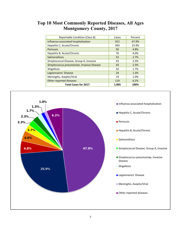#### **Top 10 Most Commonly Reported Diseases, All Ages Montgomery County, 2017**

| Reportable Condition (Class B)             | Cases | Percent |
|--------------------------------------------|-------|---------|
| Influenza-associated hospitalization       | 912   | 47.9%   |
| Hepatitis C, Acute/Chronic                 | 493   | 25.9%   |
| <b>Pertussis</b>                           | 92    | 4.8%    |
| Hepatitis B, Acute/Chronic                 | 76    | 4.0%    |
| <b>Salmonellosis</b>                       | 52    | 2.7%    |
| Streptococcal Disease, Group A, Invasive   | 43    | 2.3%    |
| Streptococcus pneumoniae, Invasive Disease | 43    | 2.3%    |
| Shigellosis                                | 32    | 1.7%    |
| Legionnaires' Disease                      | 24    | 1.3%    |
| Meningitis, Aseptic/Viral                  | 19    | 1.0%    |
| Other reported diseases                    | 119   | 6.2%    |
| <b>Total Cases for 2017</b>                | 1,905 | 100%    |

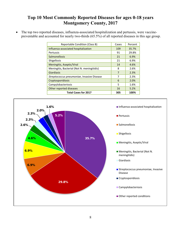### **Top 10 Most Commonly Reported Diseases for ages 0-18 years Montgomery County, 2017**

• The top two reported diseases, influenza-associated hospitalization and pertussis, were vaccinepreventable and accounted for nearly two-thirds (65.5%) of all reported diseases in this age group.

| <b>Reportable Condition (Class B)</b>       | Cases          | Percent |
|---------------------------------------------|----------------|---------|
| Influenza-associated hospitalization        | 109            | 35.7%   |
| Pertussis                                   | 91             | 29.8%   |
| Salmonellosis                               | 21             | 6.9%    |
| <b>Shigellosis</b>                          | 21             | 6.9%    |
| Meningitis, Aseptic/Viral                   | 14             | 4.6%    |
| Meningitis, Bacterial (Not N. meningitidis) | 8              | 2.6%    |
| Giardiasis                                  | $\overline{7}$ | 2.3%    |
| Streptococcus pneumoniae, Invasive Disease  | 7              | 2.3%    |
| Cryptosporidiosis                           | 6              | 2.0%    |
| Campylobacteriosis                          | 5              | 1.6%    |
| Other reported diseases                     | 16             | 5.2%    |
| <b>Total Cases for 2017</b>                 | 305            | 100%    |

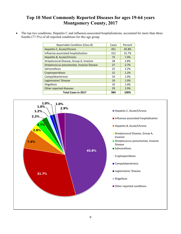# **Top 10 Most Commonly Reported Diseases for ages 19-64 years Montgomery County, 2017**

The top two conditions, Hepatitis C and influenza-associated hospitalizations, accounted for more than threefourths (77.5%) of all reported conditions for this age group.

| Reportable Condition (Class B)             | Cases | Percent |
|--------------------------------------------|-------|---------|
| Hepatitis C, Acute/Chronic                 | 451   | 45.8%   |
| Influenza-associated hospitalization       | 312   | 31.7%   |
| Hepatitis B, Acute/Chronic                 | 73    | 7.4%    |
| Streptococcal Disease, Group A, Invasive   | 28    | 2.8%    |
| Streptococcus pneumoniae, Invasive Disease | 27    | 2.7%    |
| Salmonellosis                              | 22    | 2.2%    |
| Cryptosporidiosis                          | 12    | 1.2%    |
| Campylobacteriosis                         | 10    | 1.0%    |
| Legionnaires' Disease                      | 10    | 1.0%    |
| Shigellosis                                | 10    | 1.0%    |
| Other reported diseases                    | 29    | 2.9%    |
| <b>Total Cases in 2017</b>                 | 984   | 100%    |

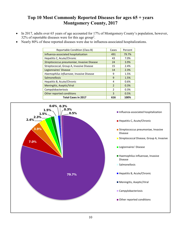# **Top 10 Most Commonly Reported Diseases for ages 65 + years Montgomery County, 2017**

- In 2017, adults over 65 years of age accounted for 17% of Montgomery County's population, however, 32% of reportable diseases were for this age group<sup>2</sup>.
- Nearly 80% of these reported diseases were due to influenza-associated hospitalizations.

| <b>Reportable Condition (Class B)</b>      | Cases          | Percent |
|--------------------------------------------|----------------|---------|
| Influenza-associated hospitalization       | 491            | 79.7%   |
| Hepatitis C, Acute/Chronic                 | 43             | 7.0%    |
| Streptococcus pneumoniae, Invasive Disease | 24             | 3.9%    |
| Streptococcal, Group A, Invasive Disease   | 15             | 2.4%    |
| Legionnaires' Disease                      | 14             | 2.3%    |
| Haemophilus influenzae, Invasive Disease   | 9              | 1.5%    |
| Salmonellosis                              | 9              | 1.5%    |
| Hepatitis B, Acute/Chronic                 | 4              | 0.6%    |
| Meningitis, Aseptic/Viral                  | $\overline{2}$ | 0.3%    |
| Campylobacteriosis                         | $\mathcal{P}$  | 0.3%    |
| Other reported conditions                  | 3              | 0.5%    |
| <b>Total Cases in 2017</b>                 | 616            | 100%    |

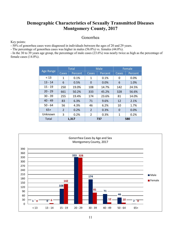#### **Demographic Characteristics of Sexually Transmitted Diseases Montgomery County, 2017**

#### Gonorrhea

Key points:

- 50% of gonorrhea cases were diagnosed in individuals between the ages of 20 and 29 years.

- The percentage of gonorrhea cases was higher in males (56.0%) vs. females (44.0%).

- In the 30 to 39 years age group, the percentage of male cases (23.6%) was nearly twice as high as the percentage of female cases (14.0%).

|           | <b>Total</b> |         |                | Male    | Female      |         |
|-----------|--------------|---------|----------------|---------|-------------|---------|
| Age Range | Cases        | Percent | Cases          | Percent | Cases       | Percent |
| < 13      | 1            | 0.1%    | 1              | 0.1%    | 0           | 0.0%    |
| $13 - 14$ | 6            | 0.5%    | 0              | 0.0%    | 6           | 1.0%    |
| $15 - 19$ | 250          | 19.0%   | 108            | 14.7%   | 142         | 24.5%   |
| $20 - 29$ | 661          | 50.2%   | 333            | 45.2%   | 328         | 56.6%   |
| $30 - 39$ | 255          | 19.4%   | 174            | 23.6%   | 81          | 14.0%   |
| $40 - 49$ | 83           | 6.3%    | 71             | 9.6%    | 12          | 2.1%    |
| $50 - 64$ | 56           | 4.3%    | 46             | 6.2%    | 10          | 1.7%    |
| $65+$     | 2            | 0.2%    | $\overline{2}$ | 0.3%    | $\mathbf 0$ | 0.0%    |
| Unknown   | 3            | 0.2%    | $\overline{2}$ | 0.3%    | 1           | 0.2%    |
| Total     | 1,317        |         | 737            |         | 580         |         |

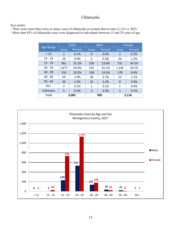### Chlamydia

Key points:

- There were more than twice as many cases of chlamydia in women than in men (2,116 vs. 965).

- More than 85% of chlamydia cases were diagnosed in individuals between 15 and 29 years of age.

|           | <b>Total</b> |         |              | Male    | Female         |         |
|-----------|--------------|---------|--------------|---------|----------------|---------|
| Age Range | Cases        | Percent | Cases        | Percent | Cases          | Percent |
| < 13      | 2            | 0.1%    | 0            | 0.0%    | 2              | 0.1%    |
| $13 - 14$ | 29           | 0.9%    | 3            | 0.3%    | 26             | 1.2%    |
| $15 - 19$ | 961          | 31.2%   | 230          | 23.8%   | 731            | 34.5%   |
| $20 - 29$ | 1,677        | 54.4%   | 532          | 55.1%   | 1,145          | 54.1%   |
| $30 - 39$ | 316          | 10.3%   | 138          | 14.3%   | 178            | 8.4%    |
| $40 - 49$ | 59           | 1.9%    | 36           | 3.7%    | 23             | 1.1%    |
| $50 - 64$ | 30           | 1.0%    | 22           | 2.3%    | 8              | 0.4%    |
| $65+$     | 2            | 0.1%    | $\mathbf{1}$ | 0.1%    | 1              | 0.0%    |
| Unknown   | 5            | 0.2%    | 3            | 0.3%    | $\overline{2}$ | 0.1%    |
| Total     |              | 3,081   |              | 965     |                | 2,116   |

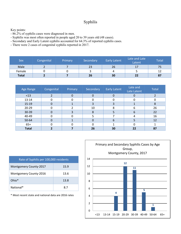#### Syphilis

Key points:

- 86.2% of syphilis cases were diagnosed in men.
- Syphilis was most often reported in people aged 20 to 39 years old (48 cases).
- Secondary and Early Latent syphilis accounted for 64.3% of reported syphilis cases.
- There were 2 cases of congenital syphilis reported in 2017.

| Sex          | Congenital | Primary | Secondary | <b>Early Latent</b> | Late and Late<br>Latent | Total |
|--------------|------------|---------|-----------|---------------------|-------------------------|-------|
| Male         |            |         | 23        | 26                  | 17                      | 75    |
| Female       |            |         |           | 4                   |                         | 12    |
| <b>Total</b> |            |         | 26        | 30                  | 22                      | 87    |

| Age Range    | Congenital | Primary        | Secondary | <b>Early Latent</b> | Late and<br>Late Latent | <b>Total</b> |
|--------------|------------|----------------|-----------|---------------------|-------------------------|--------------|
| $<$ 13       |            | $\overline{0}$ | 0         | $\Omega$            |                         |              |
| 13-14        |            |                | 0         |                     |                         |              |
| $15-19$      | 0          |                | 3         |                     |                         | 8            |
| $20 - 29$    | 0          |                | 10        | 8                   | 6                       | 26           |
| 30-39        | 0          |                | 8         |                     | b                       | 22           |
| 40-49        |            |                |           |                     |                         | 16           |
| 50-64        | 0          |                | 0         | 6                   |                         | 12           |
| $65+$        |            |                | 0         |                     |                         |              |
| <b>Total</b> |            |                | 26        | 30                  | 22                      | 87           |

| Rate of Syphilis per 100,000 residents |      |  |  |  |  |  |
|----------------------------------------|------|--|--|--|--|--|
| <b>Montgomery County-2017</b>          | 15.9 |  |  |  |  |  |
| Montgomery County-2016                 | 13.6 |  |  |  |  |  |
| Ohio <sup>*</sup>                      | 13.8 |  |  |  |  |  |
| National*                              | 87   |  |  |  |  |  |

\* Most recent state and national data are 2016 rates

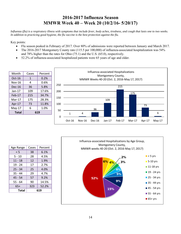## **2016-2017 Influenza Season MMWR Week 40 – Week 20 (10/2/16- 5/20/17)**

*Influenza (flu) is a respiratory illness with symptoms that include fever, body aches, tiredness, and cough that lasts one to two weeks. In addition to practicing good hygiene, the flu vaccine is the best protection against the flu.* 

Key points:

- Flu season peaked in February of 2017. Over 80% of admissions were reported between January and March 2017.
- The 2016-2017 Montgomery County rate (115.5 per 100,000) of influenza-associated hospitalization was 54% and 78% higher than the rates for Ohio (75.1) and the U.S. (65.0), respectively.
- 52.2% of influenza-associated hospitalized patients were 65 years of age and older.

| Month        | Cases | Percent |     |                                                                    |        | Influenza-associated Hospitalizations |          |        |        |        |          |
|--------------|-------|---------|-----|--------------------------------------------------------------------|--------|---------------------------------------|----------|--------|--------|--------|----------|
| $Oct-16$     | 1     | 0.2%    |     | Montgomery County,<br>MMWR Weeks 40-20 (Oct. 2, 2016-May 17, 2017) |        |                                       |          |        |        |        |          |
| $Nov-16$     | 4     | 0.6%    |     |                                                                    |        |                                       |          |        |        |        |          |
| $Dec-16$     | 36    | 5.8%    | 250 |                                                                    |        |                                       |          | 215    |        |        |          |
| $Jan-17$     | 109   | 17.6%   | 200 |                                                                    |        |                                       |          |        |        |        |          |
| Feb-17       | 215   | 34.7%   |     |                                                                    |        |                                       |          |        | 175    |        |          |
| $Mar-17$     | 175   | 28.3%   | 150 |                                                                    |        |                                       | 109      |        |        |        |          |
| Apr-17       | 73    | 11.8%   | 100 |                                                                    |        |                                       |          |        |        | 73     |          |
| $May-17$     | 6     | 1.0%    |     |                                                                    |        | 36                                    |          |        |        |        |          |
| <b>Total</b> |       | 619     | 50  | 1                                                                  | 4      |                                       |          |        |        |        | 6        |
|              |       |         | 0   |                                                                    |        |                                       |          |        |        |        |          |
|              |       |         |     | $Oct-16$                                                           | Nov-16 | Dec-16                                | $Jan-17$ | Feb-17 | Mar-17 | Apr-17 | $May-17$ |



| Total     | 619          |         |  |  |
|-----------|--------------|---------|--|--|
| $65+$     | 52.2%<br>323 |         |  |  |
| $55 - 64$ | 90<br>14.5%  |         |  |  |
| 45 - 54   | 57<br>9.2%   |         |  |  |
| $35 - 44$ | 29<br>4.7%   |         |  |  |
| $25 - 34$ | 25           | 4.0%    |  |  |
| $19 - 24$ | 17           | 2.7%    |  |  |
| $11 - 18$ | 12           | 1.9%    |  |  |
| 5 - 10    | 28           | 4.5%    |  |  |
| $\leq 5$  | 38           | 6.1%    |  |  |
| Age Range | Cases        | Percent |  |  |